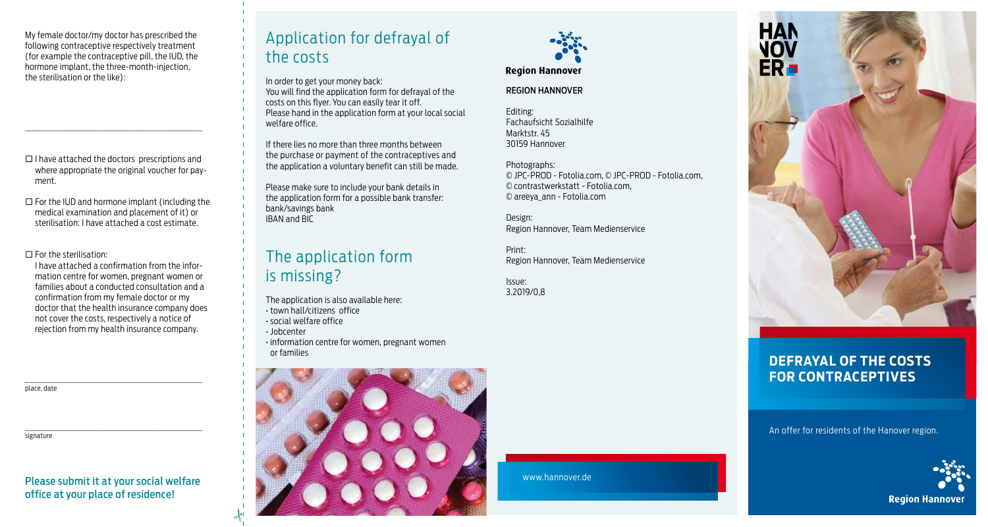My female doctor/my doctor has prescribed the following contraceptive respectively treatment (for example the contraceptive pill, the IUD, the hormone implant, the three-month-injection, the sterilisation or the like):

 $\Box$  I have attached the doctors prescriptions and where appropriate the original voucher for payment.

\_\_\_\_\_\_\_\_\_\_\_\_\_\_\_\_\_\_\_\_\_\_\_\_\_\_\_\_\_\_\_\_\_\_\_\_\_\_\_\_\_\_\_\_\_\_\_\_\_\_\_\_\_\_\_\_\_\_\_\_\_\_\_\_\_\_\_\_\_\_\_\_\_\_\_

 $\square$  For the IUD and hormone implant (including the medical examination and placement of it) or sterilisation: I have attached a cost estimate.

 $\square$  For the sterilisation:

 I have attached a confirmation from the information centre for women, pregnant women or families about a conducted consultation and a confirmation from my female doctor or my doctor that the health insurance company does not cover the costs, respectively a notice of rejection from my health insurance company.

place, date

signature

Please submit it at your social welfare office at your place of residence!

\_\_\_\_\_\_\_\_\_\_\_\_\_\_\_\_\_\_\_\_\_\_\_\_\_\_\_\_\_\_\_\_\_\_\_\_\_\_\_\_\_\_\_\_\_\_\_\_\_\_\_\_\_\_\_\_\_\_\_\_\_\_\_\_\_\_\_\_\_\_\_\_\_\_\_

\_\_\_\_\_\_\_\_\_\_\_\_\_\_\_\_\_\_\_\_\_\_\_\_\_\_\_\_\_\_\_\_\_\_\_\_\_\_\_\_\_\_\_\_\_\_\_\_\_\_\_\_\_\_\_\_\_\_\_\_\_\_\_\_\_\_\_\_\_\_\_\_\_\_\_

## Application for defrayal of the costs

In order to get your money back: You will find the application form for defrayal of the costs on this flyer. You can easily tear it off. Please hand in the application form at your local social welfare office.

If there lies no more than three months between the purchase or payment of the contraceptives and the application a voluntary benefit can still be made.

Please make sure to include your bank details in the application form for a possible bank transfer: bank/savings bank IBAN and BIC

# The application form is missing?

The application is also available here:

- town hall/citizens′ office
- social welfare office
- Jobcenter

 $\frac{1}{2}$ 

• information centre for women, pregnant women or families





### **Region Hannover**

#### REGION HANNOVER

Editing: Fachaufsicht Sozialhilfe Marktstr. 45 30159 Hannover

Photographs: © JPC-PROD - Fotolia.com, © JPC-PROD - Fotolia.com, © contrastwerkstatt - Fotolia.com, © areeya\_ann - Fotolia.com

Design: Region Hannover, Team Medienservice

Print: Region Hannover, Team Medienservice

Issue: 3.2019/0,8



### **DEFRAYAL OF THE COSTS FOR CONTRACEPTIVES**

An offer for residents of the Hanover region.



www.hannover.de